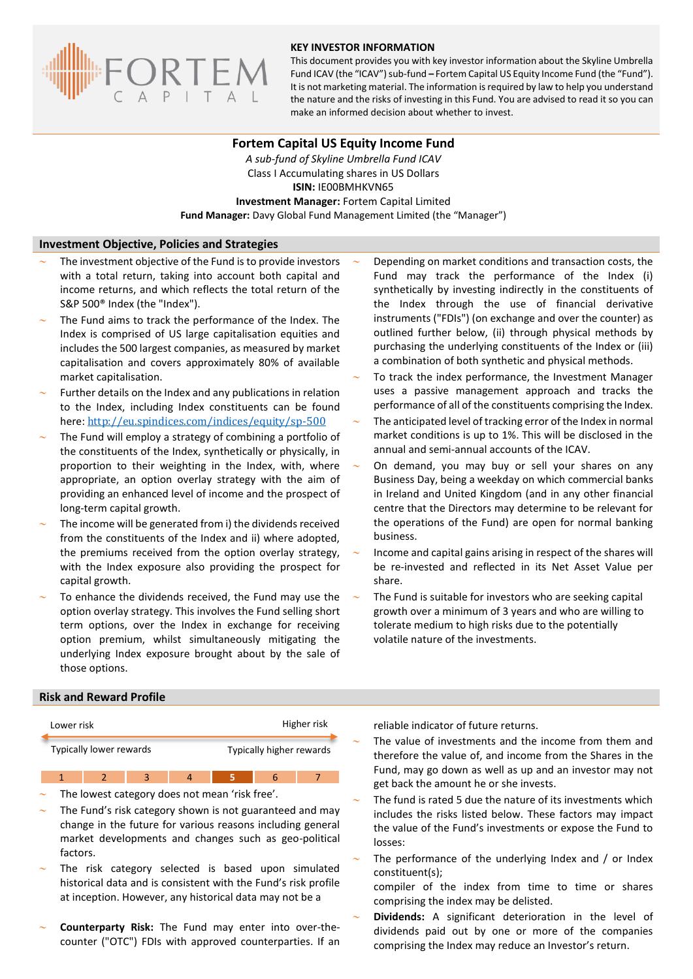

#### **KEY INVESTOR INFORMATION**

This document provides you with key investor information about the Skyline Umbrella Fund ICAV (the "ICAV") sub-fund **–** Fortem Capital US Equity Income Fund (the "Fund"). It is not marketing material. The information is required by law to help you understand the nature and the risks of investing in this Fund. You are advised to read it so you can make an informed decision about whether to invest.

### **Fortem Capital US Equity Income Fund**

*A sub-fund of Skyline Umbrella Fund ICAV* Class I Accumulating shares in US Dollars **ISIN:** IE00BMHKVN65 **Investment Manager:** Fortem Capital Limited **Fund Manager:** Davy Global Fund Management Limited (the "Manager")

#### **Investment Objective, Policies and Strategies**

- The investment objective of the Fund is to provide investors with a total return, taking into account both capital and income returns, and which reflects the total return of the S&P 500® Index (the "Index").
- The Fund aims to track the performance of the Index. The Index is comprised of US large capitalisation equities and includes the 500 largest companies, as measured by market capitalisation and covers approximately 80% of available market capitalisation.
- Further details on the Index and any publications in relation to the Index, including Index constituents can be found here: <http://eu.spindices.com/indices/equity/sp-500>
- The Fund will employ a strategy of combining a portfolio of the constituents of the Index, synthetically or physically, in proportion to their weighting in the Index, with, where appropriate, an option overlay strategy with the aim of providing an enhanced level of income and the prospect of long-term capital growth.
- The income will be generated from i) the dividends received from the constituents of the Index and ii) where adopted, the premiums received from the option overlay strategy, with the Index exposure also providing the prospect for capital growth.
- To enhance the dividends received, the Fund may use the option overlay strategy. This involves the Fund selling short term options, over the Index in exchange for receiving option premium, whilst simultaneously mitigating the underlying Index exposure brought about by the sale of those options.
- Depending on market conditions and transaction costs, the Fund may track the performance of the Index (i) synthetically by investing indirectly in the constituents of the Index through the use of financial derivative instruments ("FDIs") (on exchange and over the counter) as outlined further below, (ii) through physical methods by purchasing the underlying constituents of the Index or (iii) a combination of both synthetic and physical methods.
- To track the index performance, the Investment Manager uses a passive management approach and tracks the performance of all of the constituents comprising the Index.
- The anticipated level of tracking error of the Index in normal market conditions is up to 1%. This will be disclosed in the annual and semi-annual accounts of the ICAV.
- On demand, you may buy or sell your shares on any Business Day, being a weekday on which commercial banks in Ireland and United Kingdom (and in any other financial centre that the Directors may determine to be relevant for the operations of the Fund) are open for normal banking business.
- Income and capital gains arising in respect of the shares will be re-invested and reflected in its Net Asset Value per share.
- The Fund is suitable for investors who are seeking capital growth over a minimum of 3 years and who are willing to tolerate medium to high risks due to the potentially volatile nature of the investments.

## **Risk and Reward Profile**

| Lower risk                                          |  |                                                |                | Higher risk |                |  |                                                | reliable indicator of fu                   |
|-----------------------------------------------------|--|------------------------------------------------|----------------|-------------|----------------|--|------------------------------------------------|--------------------------------------------|
| Typically lower rewards<br>Typically higher rewards |  |                                                |                |             |                |  | The value of investm<br>therefore the value of |                                            |
|                                                     |  | 3                                              | $\overline{4}$ | 5.          | 6 <sup>7</sup> |  |                                                | Fund, may go down a<br>get back the amount |
|                                                     |  | The lowest category does not mean 'risk free'. |                |             |                |  | $-$                                            | Tho fund is rotad <b>E</b> di              |

- The Fund's risk category shown is not guaranteed and may change in the future for various reasons including general market developments and changes such as geo-political factors.
- The risk category selected is based upon simulated historical data and is consistent with the Fund's risk profile at inception. However, any historical data may not be a
- **Counterparty Risk:** The Fund may enter into over-thecounter ("OTC") FDIs with approved counterparties. If an

uture returns.

- ents and the income from them and of, and income from the Shares in the as well as up and an investor may not he or she invests.
- The fund is rated 5 due the nature of its investments which includes the risks listed below. These factors may impact the value of the Fund's investments or expose the Fund to losses:
- The performance of the underlying Index and / or Index constituent(s);

compiler of the index from time to time or shares comprising the index may be delisted.

 **Dividends:** A significant deterioration in the level of dividends paid out by one or more of the companies comprising the Index may reduce an Investor's return.